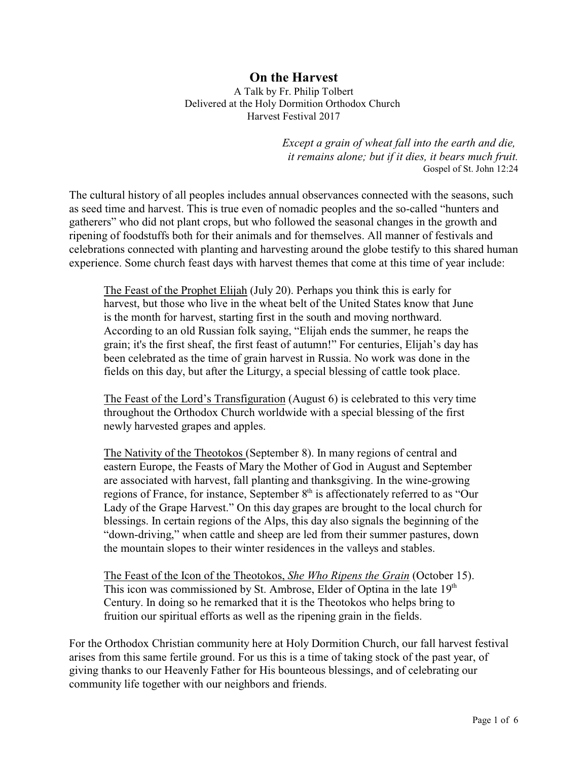## **On the Harvest** A Talk by Fr. Philip Tolbert Delivered at the Holy Dormition Orthodox Church Harvest Festival 2017

*Except a grain of wheat fall into the earth and die, it remains alone; but if it dies, it bears much fruit.* Gospel of St. John 12:24

The cultural history of all peoples includes annual observances connected with the seasons, such as seed time and harvest. This is true even of nomadic peoples and the so-called "hunters and gatherers" who did not plant crops, but who followed the seasonal changes in the growth and ripening of foodstuffs both for their animals and for themselves. All manner of festivals and celebrations connected with planting and harvesting around the globe testify to this shared human experience. Some church feast days with harvest themes that come at this time of year include:

The Feast of the Prophet Elijah (July 20). Perhaps you think this is early for harvest, but those who live in the wheat belt of the United States know that June is the month for harvest, starting first in the south and moving northward. According to an old Russian folk saying, "Elijah ends the summer, he reaps the grain; it's the first sheaf, the first feast of autumn!" For centuries, Elijah's day has been celebrated as the time of grain harvest in Russia. No work was done in the fields on this day, but after the Liturgy, a special blessing of cattle took place.

The Feast of the Lord's Transfiguration (August 6) is celebrated to this very time throughout the Orthodox Church worldwide with a special blessing of the first newly harvested grapes and apples.

The Nativity of the Theotokos (September 8). In many regions of central and eastern Europe, the Feasts of Mary the Mother of God in August and September are associated with harvest, fall planting and thanksgiving. In the wine-growing regions of France, for instance, September 8<sup>th</sup> is affectionately referred to as "Our Lady of the Grape Harvest." On this day grapes are brought to the local church for blessings. In certain regions of the Alps, this day also signals the beginning of the "down-driving," when cattle and sheep are led from their summer pastures, down the mountain slopes to their winter residences in the valleys and stables.

The Feast of the Icon of the Theotokos, *She Who Ripens the Grain* (October 15). This icon was commissioned by St. Ambrose, Elder of Optina in the late  $19<sup>th</sup>$ Century. In doing so he remarked that it is the Theotokos who helps bring to fruition our spiritual efforts as well as the ripening grain in the fields.

For the Orthodox Christian community here at Holy Dormition Church, our fall harvest festival arises from this same fertile ground. For us this is a time of taking stock of the past year, of giving thanks to our Heavenly Father for His bounteous blessings, and of celebrating our community life together with our neighbors and friends.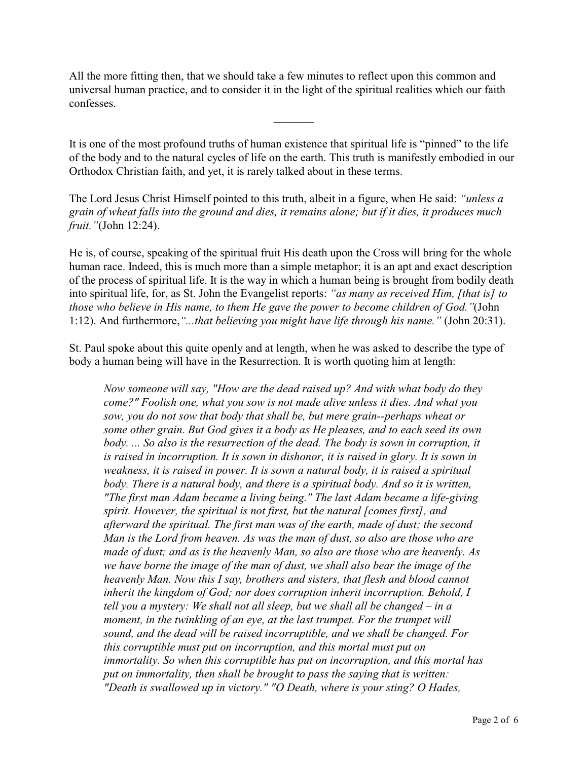All the more fitting then, that we should take a few minutes to reflect upon this common and universal human practice, and to consider it in the light of the spiritual realities which our faith confesses.

It is one of the most profound truths of human existence that spiritual life is "pinned" to the life of the body and to the natural cycles of life on the earth. This truth is manifestly embodied in our Orthodox Christian faith, and yet, it is rarely talked about in these terms.

**\_\_\_\_\_\_\_**

The Lord Jesus Christ Himself pointed to this truth, albeit in a figure, when He said: *"unless a grain of wheat falls into the ground and dies, it remains alone; but if it dies, it produces much fruit."*(John 12:24).

He is, of course, speaking of the spiritual fruit His death upon the Cross will bring for the whole human race. Indeed, this is much more than a simple metaphor; it is an apt and exact description of the process of spiritual life. It is the way in which a human being is brought from bodily death into spiritual life, for, as St. John the Evangelist reports: *"as many as received Him, [that is] to those who believe in His name, to them He gave the power to become children of God."*(John 1:12). And furthermore,*"...that believing you might have life through his name."* (John 20:31).

St. Paul spoke about this quite openly and at length, when he was asked to describe the type of body a human being will have in the Resurrection. It is worth quoting him at length:

*Now someone will say, "How are the dead raised up? And with what body do they come?" Foolish one, what you sow is not made alive unless it dies. And what you sow, you do not sow that body that shall be, but mere grain--perhaps wheat or some other grain. But God gives it a body as He pleases, and to each seed its own body. ... So also is the resurrection of the dead. The body is sown in corruption, it is raised in incorruption. It is sown in dishonor, it is raised in glory. It is sown in weakness, it is raised in power. It is sown a natural body, it is raised a spiritual body. There is a natural body, and there is a spiritual body. And so it is written, "The first man Adam became a living being." The last Adam became a life-giving spirit. However, the spiritual is not first, but the natural [comes first], and afterward the spiritual. The first man was of the earth, made of dust; the second Man is the Lord from heaven. As was the man of dust, so also are those who are made of dust; and as is the heavenly Man, so also are those who are heavenly. As we have borne the image of the man of dust, we shall also bear the image of the heavenly Man. Now this I say, brothers and sisters, that flesh and blood cannot inherit the kingdom of God; nor does corruption inherit incorruption. Behold, I tell you a mystery: We shall not all sleep, but we shall all be changed – in a moment, in the twinkling of an eye, at the last trumpet. For the trumpet will sound, and the dead will be raised incorruptible, and we shall be changed. For this corruptible must put on incorruption, and this mortal must put on immortality. So when this corruptible has put on incorruption, and this mortal has put on immortality, then shall be brought to pass the saying that is written: "Death is swallowed up in victory." "O Death, where is your sting? O Hades,*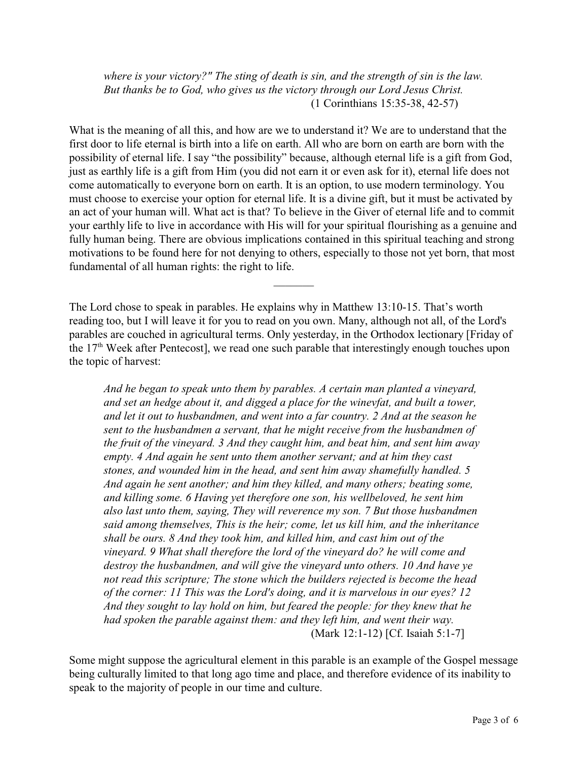*where is your victory?" The sting of death is sin, and the strength of sin is the law. But thanks be to God, who gives us the victory through our Lord Jesus Christ.*  (1 Corinthians 15:35-38, 42-57)

What is the meaning of all this, and how are we to understand it? We are to understand that the first door to life eternal is birth into a life on earth. All who are born on earth are born with the possibility of eternal life. I say "the possibility" because, although eternal life is a gift from God, just as earthly life is a gift from Him (you did not earn it or even ask for it), eternal life does not come automatically to everyone born on earth. It is an option, to use modern terminology. You must choose to exercise your option for eternal life. It is a divine gift, but it must be activated by an act of your human will. What act is that? To believe in the Giver of eternal life and to commit your earthly life to live in accordance with His will for your spiritual flourishing as a genuine and fully human being. There are obvious implications contained in this spiritual teaching and strong motivations to be found here for not denying to others, especially to those not yet born, that most fundamental of all human rights: the right to life.

The Lord chose to speak in parables. He explains why in Matthew 13:10-15. That's worth reading too, but I will leave it for you to read on you own. Many, although not all, of the Lord's parables are couched in agricultural terms. Only yesterday, in the Orthodox lectionary [Friday of the  $17<sup>th</sup>$  Week after Pentecost], we read one such parable that interestingly enough touches upon the topic of harvest:

 $\overline{\phantom{a}}$ 

*And he began to speak unto them by parables. A certain man planted a vineyard, and set an hedge about it, and digged a place for the winevfat, and built a tower, and let it out to husbandmen, and went into a far country. 2 And at the season he sent to the husbandmen a servant, that he might receive from the husbandmen of the fruit of the vineyard. 3 And they caught him, and beat him, and sent him away empty. 4 And again he sent unto them another servant; and at him they cast stones, and wounded him in the head, and sent him away shamefully handled. 5 And again he sent another; and him they killed, and many others; beating some, and killing some. 6 Having yet therefore one son, his wellbeloved, he sent him also last unto them, saying, They will reverence my son. 7 But those husbandmen said among themselves, This is the heir; come, let us kill him, and the inheritance shall be ours. 8 And they took him, and killed him, and cast him out of the vineyard. 9 What shall therefore the lord of the vineyard do? he will come and destroy the husbandmen, and will give the vineyard unto others. 10 And have ye not read this scripture; The stone which the builders rejected is become the head of the corner: 11 This was the Lord's doing, and it is marvelous in our eyes? 12 And they sought to lay hold on him, but feared the people: for they knew that he had spoken the parable against them: and they left him, and went their way.* (Mark 12:1-12) [Cf. Isaiah 5:1-7]

Some might suppose the agricultural element in this parable is an example of the Gospel message being culturally limited to that long ago time and place, and therefore evidence of its inability to speak to the majority of people in our time and culture.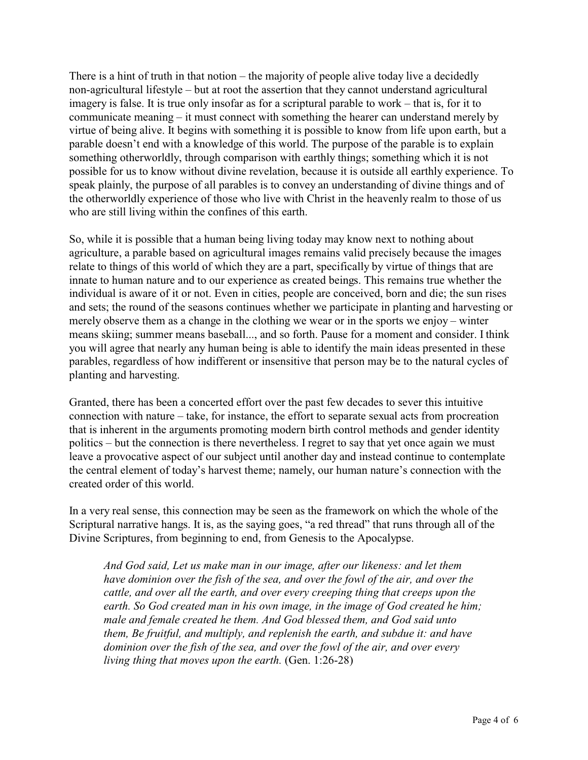There is a hint of truth in that notion – the majority of people alive today live a decidedly non-agricultural lifestyle – but at root the assertion that they cannot understand agricultural imagery is false. It is true only insofar as for a scriptural parable to work – that is, for it to communicate meaning – it must connect with something the hearer can understand merely by virtue of being alive. It begins with something it is possible to know from life upon earth, but a parable doesn't end with a knowledge of this world. The purpose of the parable is to explain something otherworldly, through comparison with earthly things; something which it is not possible for us to know without divine revelation, because it is outside all earthly experience. To speak plainly, the purpose of all parables is to convey an understanding of divine things and of the otherworldly experience of those who live with Christ in the heavenly realm to those of us who are still living within the confines of this earth.

So, while it is possible that a human being living today may know next to nothing about agriculture, a parable based on agricultural images remains valid precisely because the images relate to things of this world of which they are a part, specifically by virtue of things that are innate to human nature and to our experience as created beings. This remains true whether the individual is aware of it or not. Even in cities, people are conceived, born and die; the sun rises and sets; the round of the seasons continues whether we participate in planting and harvesting or merely observe them as a change in the clothing we wear or in the sports we enjoy – winter means skiing; summer means baseball..., and so forth. Pause for a moment and consider. I think you will agree that nearly any human being is able to identify the main ideas presented in these parables, regardless of how indifferent or insensitive that person may be to the natural cycles of planting and harvesting.

Granted, there has been a concerted effort over the past few decades to sever this intuitive connection with nature – take, for instance, the effort to separate sexual acts from procreation that is inherent in the arguments promoting modern birth control methods and gender identity politics – but the connection is there nevertheless. I regret to say that yet once again we must leave a provocative aspect of our subject until another day and instead continue to contemplate the central element of today's harvest theme; namely, our human nature's connection with the created order of this world.

In a very real sense, this connection may be seen as the framework on which the whole of the Scriptural narrative hangs. It is, as the saying goes, "a red thread" that runs through all of the Divine Scriptures, from beginning to end, from Genesis to the Apocalypse.

*And God said, Let us make man in our image, after our likeness: and let them have dominion over the fish of the sea, and over the fowl of the air, and over the cattle, and over all the earth, and over every creeping thing that creeps upon the earth. So God created man in his own image, in the image of God created he him; male and female created he them. And God blessed them, and God said unto them, Be fruitful, and multiply, and replenish the earth, and subdue it: and have dominion over the fish of the sea, and over the fowl of the air, and over every living thing that moves upon the earth.* (Gen. 1:26-28)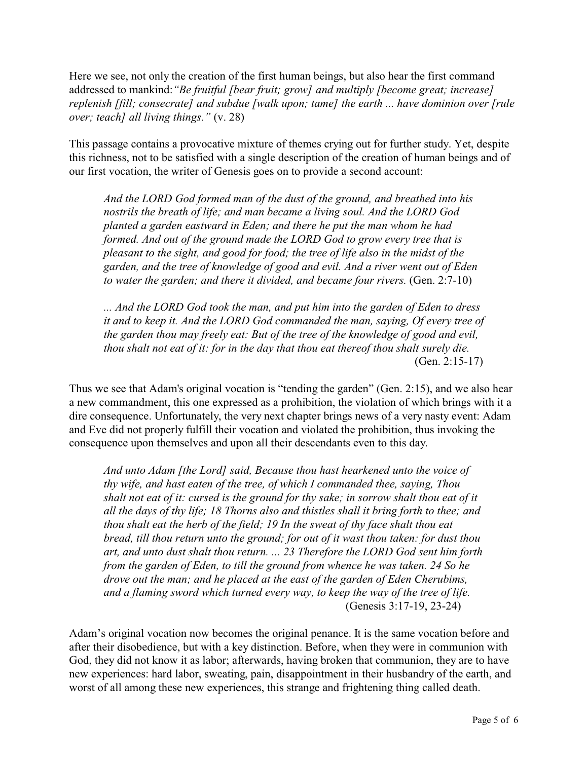Here we see, not only the creation of the first human beings, but also hear the first command addressed to mankind:*"Be fruitful [bear fruit; grow] and multiply [become great; increase] replenish [fill; consecrate] and subdue [walk upon; tame] the earth ... have dominion over [rule over; teach] all living things."* (v. 28)

This passage contains a provocative mixture of themes crying out for further study. Yet, despite this richness, not to be satisfied with a single description of the creation of human beings and of our first vocation, the writer of Genesis goes on to provide a second account:

*And the LORD God formed man of the dust of the ground, and breathed into his nostrils the breath of life; and man became a living soul. And the LORD God planted a garden eastward in Eden; and there he put the man whom he had formed. And out of the ground made the LORD God to grow every tree that is pleasant to the sight, and good for food; the tree of life also in the midst of the garden, and the tree of knowledge of good and evil. And a river went out of Eden to water the garden; and there it divided, and became four rivers.* (Gen. 2:7-10)

*... And the LORD God took the man, and put him into the garden of Eden to dress it and to keep it. And the LORD God commanded the man, saying, Of every tree of the garden thou may freely eat: But of the tree of the knowledge of good and evil, thou shalt not eat of it: for in the day that thou eat thereof thou shalt surely die.*  (Gen. 2:15-17)

Thus we see that Adam's original vocation is "tending the garden" (Gen. 2:15), and we also hear a new commandment, this one expressed as a prohibition, the violation of which brings with it a dire consequence. Unfortunately, the very next chapter brings news of a very nasty event: Adam and Eve did not properly fulfill their vocation and violated the prohibition, thus invoking the consequence upon themselves and upon all their descendants even to this day.

*And unto Adam [the Lord] said, Because thou hast hearkened unto the voice of thy wife, and hast eaten of the tree, of which I commanded thee, saying, Thou shalt not eat of it: cursed is the ground for thy sake; in sorrow shalt thou eat of it all the days of thy life; 18 Thorns also and thistles shall it bring forth to thee; and thou shalt eat the herb of the field; 19 In the sweat of thy face shalt thou eat bread, till thou return unto the ground; for out of it wast thou taken: for dust thou art, and unto dust shalt thou return. ... 23 Therefore the LORD God sent him forth from the garden of Eden, to till the ground from whence he was taken. 24 So he drove out the man; and he placed at the east of the garden of Eden Cherubims, and a flaming sword which turned every way, to keep the way of the tree of life.*  (Genesis 3:17-19, 23-24)

Adam's original vocation now becomes the original penance. It is the same vocation before and after their disobedience, but with a key distinction. Before, when they were in communion with God, they did not know it as labor; afterwards, having broken that communion, they are to have new experiences: hard labor, sweating, pain, disappointment in their husbandry of the earth, and worst of all among these new experiences, this strange and frightening thing called death.